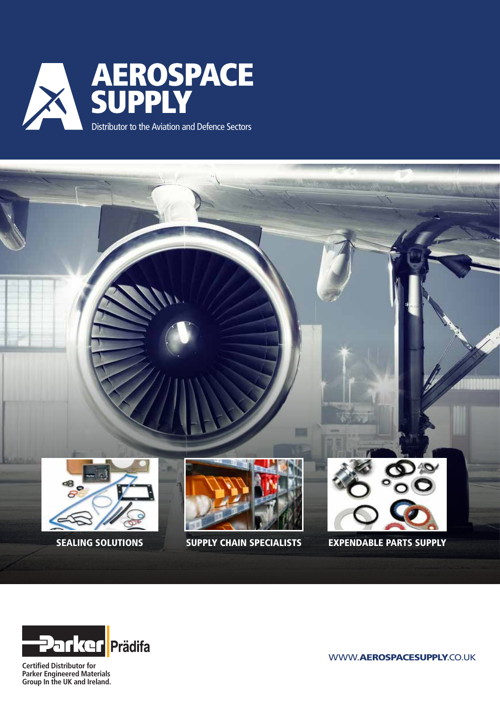





**Certified Distributor for Parker Engineered Materials Group In the UK and Ireland.**

WWW.AEROSPACESUPPLY.CO.UK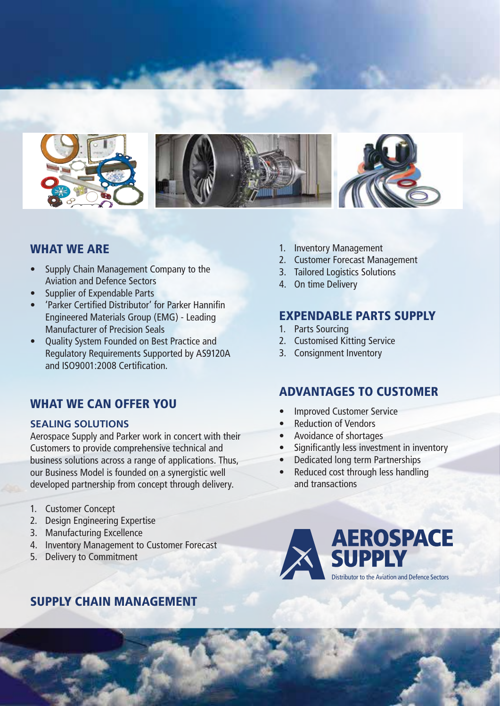

### WHAT WE ARE

- Supply Chain Management Company to the Aviation and Defence Sectors
- Supplier of Expendable Parts
- 'Parker Certified Distributor' for Parker Hannifin Engineered Materials Group (EMG) - Leading Manufacturer of Precision Seals
- Quality System Founded on Best Practice and Regulatory Requirements Supported by AS9120A and ISO9001:2008 Certification.

# WHAT WE CAN OFFER YOU

#### **SEALING SOLUTIONS**

Aerospace Supply and Parker work in concert with their Customers to provide comprehensive technical and business solutions across a range of applications. Thus, our Business Model is founded on a synergistic well developed partnership from concept through delivery.

- 1. Customer Concept
- 2. Design Engineering Expertise
- 3. Manufacturing Excellence
- 4. Inventory Management to Customer Forecast
- 5. Delivery to Commitment

# SUPPLY CHAIN MANAGEMENT

- 1. Inventory Management
- 2. Customer Forecast Management
- 3. Tailored Logistics Solutions
- 4. On time Delivery

# EXPENDABLE PARTS SUPPLY

- 1. Parts Sourcing
- 2. Customised Kitting Service
- 3. Consignment Inventory

# ADVANTAGES TO CUSTOMER

- Improved Customer Service
- **Reduction of Vendors**
- Avoidance of shortages
- Significantly less investment in inventory
- Dedicated long term Partnerships
- Reduced cost through less handling and transactions